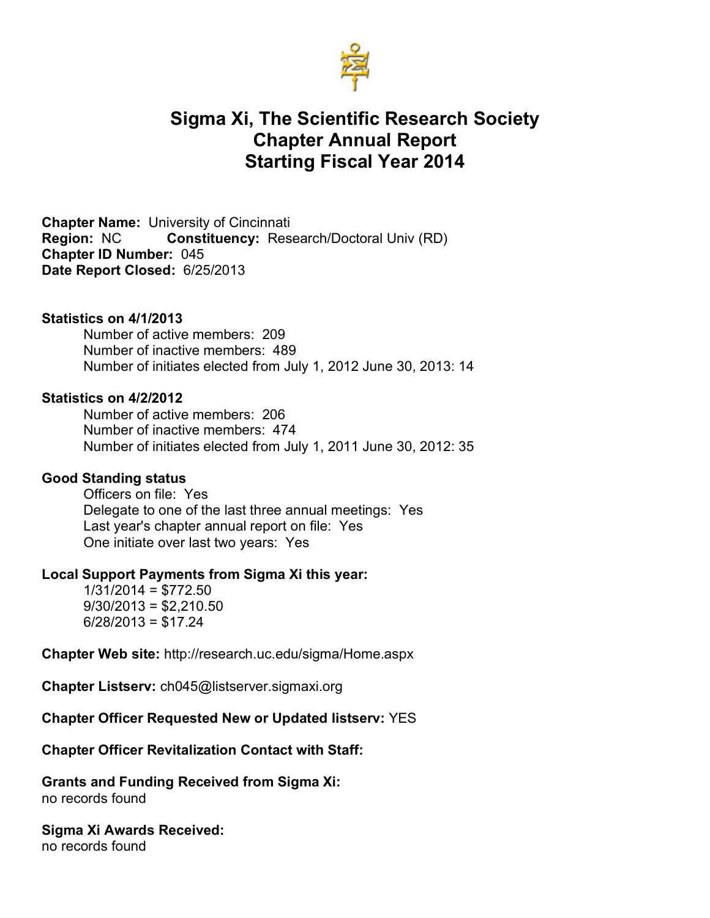

# **Sigma Xi, The Scientific Research Society Chapter Annual Report Starting Fiscal Year 2014**

**Chapter Name:** University of Cincinnati **Region:** NC **Constituency:** Research/Doctoral Univ (RD) **Chapter ID Number:** 045 **Date Report Closed:** 6/25/2013

### **Statistics on 4/1/2013**

Number of active members: 209 Number of inactive members: 489 Number of initiates elected from July 1, 2012 June 30, 2013: 14

#### **Statistics on 4/2/2012**

Number of active members: 206 Number of inactive members: 474 Number of initiates elected from July 1, 2011 June 30, 2012: 35

### **Good Standing status**

Officers on file: Yes Delegate to one of the last three annual meetings: Yes Last year's chapter annual report on file: Yes One initiate over last two years: Yes

### **Local Support Payments from Sigma Xi this year:**

 $1/31/2014 = $772.50$  $9/30/2013 = $2,210.50$  $6/28/2013 = $17.24$ 

**Chapter Web site:** http://research.uc.edu/sigma/Home.aspx

**Chapter Listserv:** ch045@listserver.sigmaxi.org

#### **Chapter Officer Requested New or Updated listserv:** YES

#### **Chapter Officer Revitalization Contact with Staff:**

**Grants and Funding Received from Sigma Xi:**  no records found

**Sigma Xi Awards Received:** no records found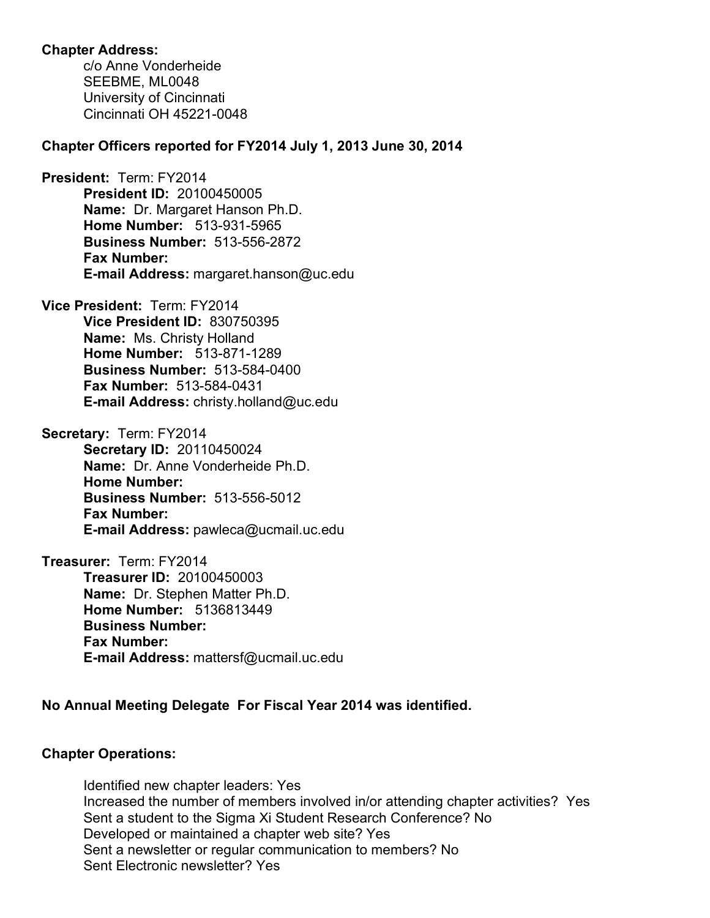## **Chapter Address:**

c/o Anne Vonderheide SEEBME, ML0048 University of Cincinnati Cincinnati OH 45221-0048

## **Chapter Officers reported for FY2014 July 1, 2013 June 30, 2014**

**President:** Term: FY2014 **President ID:** 20100450005 **Name:** Dr. Margaret Hanson Ph.D. **Home Number:** 513-931-5965 **Business Number:** 513-556-2872 **Fax Number: E-mail Address:** margaret.hanson@uc.edu

**Vice President:** Term: FY2014 **Vice President ID:** 830750395 **Name:** Ms. Christy Holland **Home Number:** 513-871-1289 **Business Number:** 513-584-0400 **Fax Number:** 513-584-0431 **E-mail Address:** christy.holland@uc.edu

**Secretary:** Term: FY2014 **Secretary ID:** 20110450024 **Name:** Dr. Anne Vonderheide Ph.D. **Home Number: Business Number:** 513-556-5012 **Fax Number: E-mail Address:** pawleca@ucmail.uc.edu

**Treasurer:** Term: FY2014 **Treasurer ID:** 20100450003 **Name:** Dr. Stephen Matter Ph.D. **Home Number:** 5136813449 **Business Number: Fax Number: E-mail Address:** mattersf@ucmail.uc.edu

# **No Annual Meeting Delegate For Fiscal Year 2014 was identified.**

# **Chapter Operations:**

Identified new chapter leaders: Yes Increased the number of members involved in/or attending chapter activities? Yes Sent a student to the Sigma Xi Student Research Conference? No Developed or maintained a chapter web site? Yes Sent a newsletter or regular communication to members? No Sent Electronic newsletter? Yes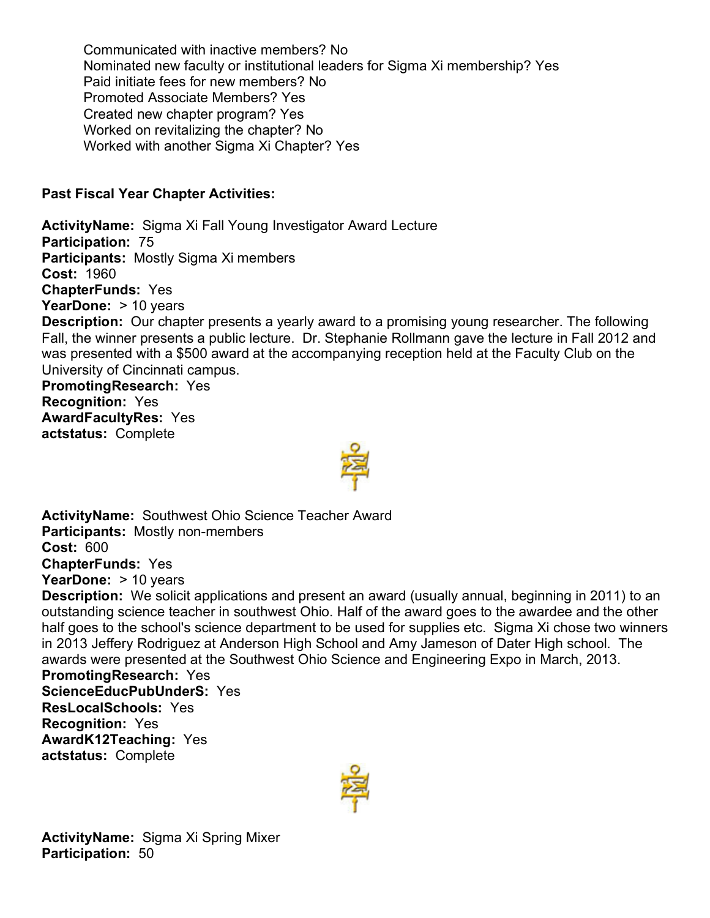Communicated with inactive members? No Nominated new faculty or institutional leaders for Sigma Xi membership? Yes Paid initiate fees for new members? No Promoted Associate Members? Yes Created new chapter program? Yes Worked on revitalizing the chapter? No Worked with another Sigma Xi Chapter? Yes

# **Past Fiscal Year Chapter Activities:**

**ActivityName:** Sigma Xi Fall Young Investigator Award Lecture **Participation:** 75 **Participants:** Mostly Sigma Xi members **Cost:** 1960 **ChapterFunds:** Yes **YearDone:** > 10 years **Description:** Our chapter presents a yearly award to a promising young researcher. The following Fall, the winner presents a public lecture. Dr. Stephanie Rollmann gave the lecture in Fall 2012 and was presented with a \$500 award at the accompanying reception held at the Faculty Club on the University of Cincinnati campus. **PromotingResearch:** Yes **Recognition:** Yes **AwardFacultyRes:** Yes **actstatus:** Complete



**ActivityName:** Southwest Ohio Science Teacher Award **Participants:** Mostly non-members **Cost:** 600 **ChapterFunds:** Yes **YearDone:** > 10 years

**Description:** We solicit applications and present an award (usually annual, beginning in 2011) to an outstanding science teacher in southwest Ohio. Half of the award goes to the awardee and the other half goes to the school's science department to be used for supplies etc. Sigma Xi chose two winners in 2013 Jeffery Rodriguez at Anderson High School and Amy Jameson of Dater High school. The awards were presented at the Southwest Ohio Science and Engineering Expo in March, 2013.

**PromotingResearch:** Yes **ScienceEducPubUnderS:** Yes **ResLocalSchools:** Yes **Recognition:** Yes **AwardK12Teaching:** Yes **actstatus:** Complete



**ActivityName:** Sigma Xi Spring Mixer **Participation:** 50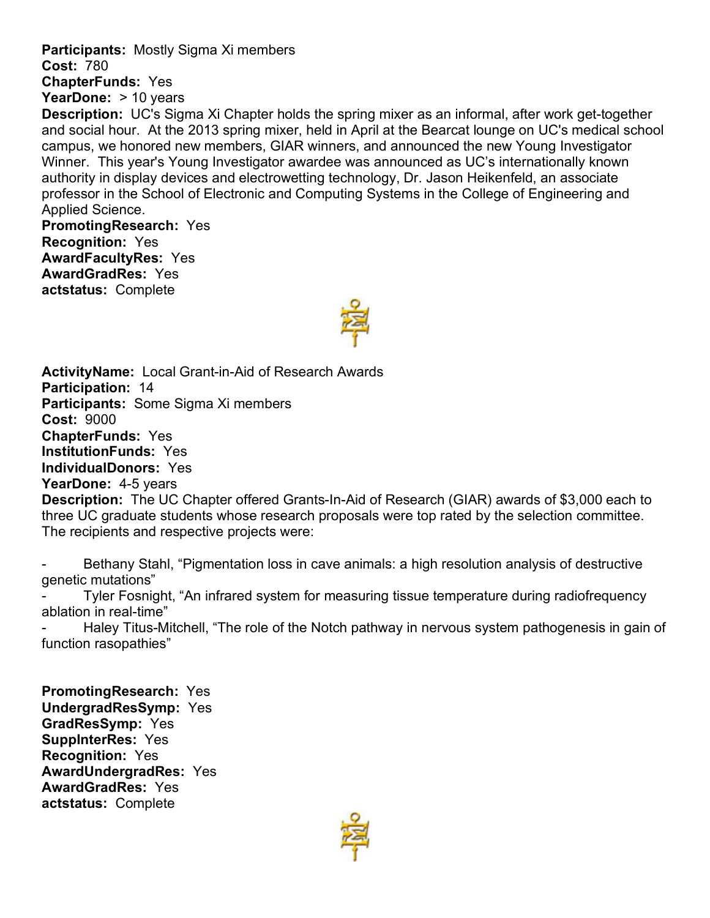**Participants:** Mostly Sigma Xi members **Cost:** 780 **ChapterFunds:** Yes

**YearDone:** > 10 years

**Description:** UC's Sigma Xi Chapter holds the spring mixer as an informal, after work get-together and social hour. At the 2013 spring mixer, held in April at the Bearcat lounge on UC's medical school campus, we honored new members, GIAR winners, and announced the new Young Investigator Winner. This year's Young Investigator awardee was announced as UC's internationally known authority in display devices and electrowetting technology, Dr. Jason Heikenfeld, an associate professor in the School of Electronic and Computing Systems in the College of Engineering and Applied Science.

**PromotingResearch:** Yes **Recognition:** Yes **AwardFacultyRes:** Yes **AwardGradRes:** Yes **actstatus:** Complete



**ActivityName:** Local Grant-in-Aid of Research Awards **Participation:** 14 **Participants:** Some Sigma Xi members **Cost:** 9000 **ChapterFunds:** Yes **InstitutionFunds:** Yes **IndividualDonors:** Yes **YearDone:** 4-5 years **Description:** The UC Chapter offered Grants-In-Aid of Research (GIAR) awards of \$3,000 each to three UC graduate students whose research proposals were top rated by the selection committee. The recipients and respective projects were:

Bethany Stahl, "Pigmentation loss in cave animals: a high resolution analysis of destructive genetic mutations"

Tyler Fosnight, "An infrared system for measuring tissue temperature during radiofrequency ablation in real-time"

Haley Titus-Mitchell, "The role of the Notch pathway in nervous system pathogenesis in gain of function rasopathies"

**PromotingResearch:** Yes **UndergradResSymp:** Yes **GradResSymp:** Yes **SuppInterRes:** Yes **Recognition:** Yes **AwardUndergradRes:** Yes **AwardGradRes:** Yes **actstatus:** Complete

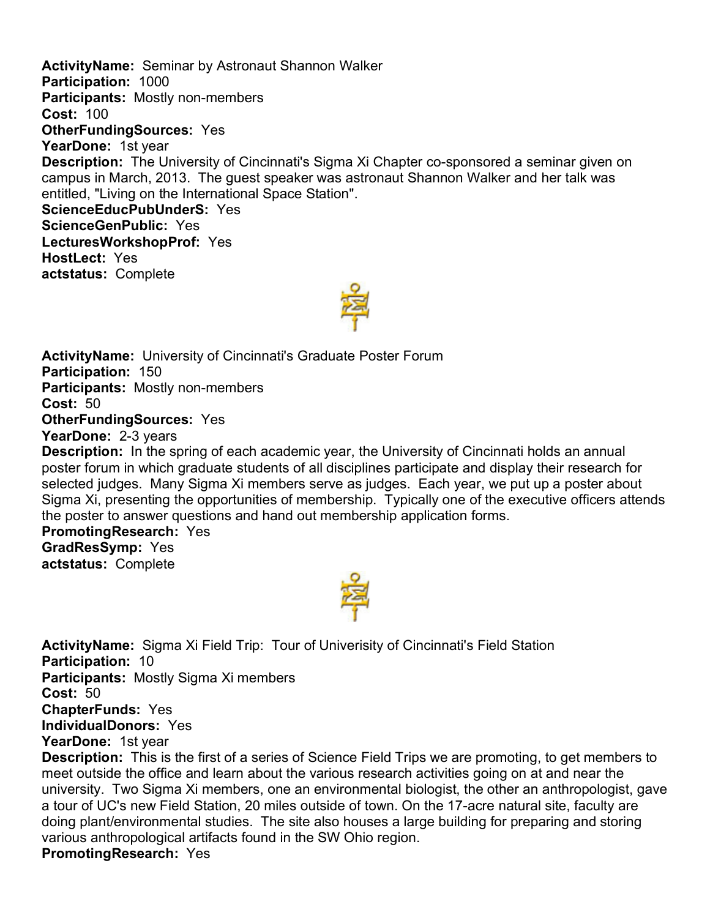**ActivityName:** Seminar by Astronaut Shannon Walker **Participation:** 1000 **Participants:** Mostly non-members **Cost:** 100 **OtherFundingSources:** Yes **YearDone:** 1st year **Description:** The University of Cincinnati's Sigma Xi Chapter co-sponsored a seminar given on campus in March, 2013. The guest speaker was astronaut Shannon Walker and her talk was entitled, "Living on the International Space Station". **ScienceEducPubUnderS:** Yes **ScienceGenPublic:** Yes **LecturesWorkshopProf:** Yes **HostLect:** Yes **actstatus:** Complete

**ActivityName:** University of Cincinnati's Graduate Poster Forum **Participation:** 150 **Participants:** Mostly non-members **Cost:** 50 **OtherFundingSources:** Yes **YearDone:** 2-3 years **Description:** In the spring of each academic year, the University of Cincinnati holds an annual

poster forum in which graduate students of all disciplines participate and display their research for selected judges. Many Sigma Xi members serve as judges. Each year, we put up a poster about Sigma Xi, presenting the opportunities of membership. Typically one of the executive officers attends the poster to answer questions and hand out membership application forms.

# **PromotingResearch:** Yes

**GradResSymp:** Yes **actstatus:** Complete



**ActivityName:** Sigma Xi Field Trip: Tour of Univerisity of Cincinnati's Field Station **Participation:** 10 **Participants:** Mostly Sigma Xi members **Cost:** 50 **ChapterFunds:** Yes **IndividualDonors:** Yes **YearDone:** 1st year **Description:** This is the first of a series of Science Field Trips we are promoting, to get members to

meet outside the office and learn about the various research activities going on at and near the university. Two Sigma Xi members, one an environmental biologist, the other an anthropologist, gave a tour of UC's new Field Station, 20 miles outside of town. On the 17-acre natural site, faculty are doing plant/environmental studies. The site also houses a large building for preparing and storing various anthropological artifacts found in the SW Ohio region. **PromotingResearch:** Yes